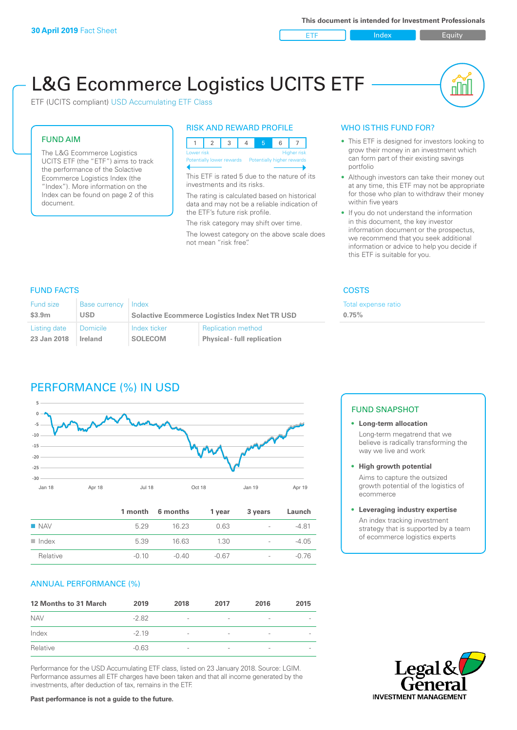ETF Index Builty

nN

# L&G Ecommerce Logistics UCITS ETF

ETF (UCITS compliant) USD Accumulating ETF Class

### FUND AIM

The L&G Ecommerce Logistics UCITS ETF (the "ETF") aims to track the performance of the Solactive Ecommerce Logistics Index (the "Index"). More information on the Index can be found on page 2 of this document.

### RISK AND REWARD PROFILE



This ETF is rated 5 due to the nature of its investments and its risks.

The rating is calculated based on historical data and may not be a reliable indication of the ETF's future risk profile.

The risk category may shift over time. The lowest category on the above scale does not mean "risk free".

### WHO IS THIS FUND FOR?

- This ETF is designed for investors looking to grow their money in an investment which can form part of their existing savings portfolio
- Although investors can take their money out at any time, this ETF may not be appropriate for those who plan to withdraw their money within five years
- If you do not understand the information in this document, the key investor information document or the prospectus, we recommend that you seek additional information or advice to help you decide if this ETF is suitable for you.

**0.75%**

Total expense ratio

### FUND FACTS COSTS

| Fund size<br>\$3.9m | Base currency Index<br><b>USD</b> | <b>Solactive Ecommerce Logistics Index Net TR USD</b> |                                    |  |
|---------------------|-----------------------------------|-------------------------------------------------------|------------------------------------|--|
| Listing date        | l Domicile                        | Index ticker                                          | <b>Replication method</b>          |  |
| 23 Jan 2018         | <b>Ireland</b>                    | <b>SOLECOM</b>                                        | <b>Physical - full replication</b> |  |

### PERFORMANCE (%) IN USD



|                      |         | 1 month 6 months | 1 year  | 3 years                  | Launch  |
|----------------------|---------|------------------|---------|--------------------------|---------|
| $\blacksquare$ NAV   | 5 2 9   | 16.23            | 0.63    | $\overline{\phantom{a}}$ | $-4.81$ |
| $\blacksquare$ Index | 5.39    | 16.63            | 1.30    | $\overline{\phantom{a}}$ | $-4.05$ |
| Relative             | $-0.10$ | $-0.40$          | $-0.67$ | $\overline{\phantom{a}}$ | $-0.76$ |

### ANNUAL PERFORMANCE (%)

| 12 Months to 31 March | 2019    | 2018                     | 2017                     | 2016            | 2015                     |
|-----------------------|---------|--------------------------|--------------------------|-----------------|--------------------------|
| <b>NAV</b>            | $-2.82$ | $\overline{\phantom{m}}$ | $\qquad \qquad$          | $\qquad \qquad$ | $\overline{\phantom{a}}$ |
| Index                 | $-2.19$ | $\overline{\phantom{a}}$ | $\overline{\phantom{a}}$ | $\qquad \qquad$ |                          |
| Relative              | $-0.63$ | $\overline{\phantom{a}}$ |                          | ۰               |                          |

Performance for the USD Accumulating ETF class, listed on 23 January 2018. Source: LGIM. Performance assumes all ETF charges have been taken and that all income generated by the investments, after deduction of tax, remains in the ETF.

### FUND SNAPSHOT

**• Long-term allocation** Long-term megatrend that we believe is radically transforming the way we live and work

**• High growth potential**

Aims to capture the outsized growth potential of the logistics of ecommerce

### **• Leveraging industry expertise**

An index tracking investment strategy that is supported by a team of ecommerce logistics experts



#### **Past performance is not a guide to the future.**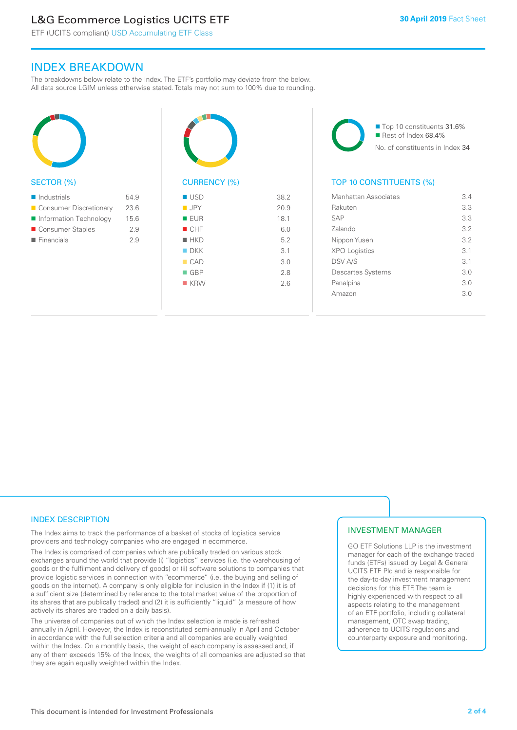## L&G Ecommerce Logistics UCITS ETF

ETF (UCITS compliant) USD Accumulating ETF Class

### INDEX BREAKDOWN

The breakdowns below relate to the Index. The ETF's portfolio may deviate from the below. All data source LGIM unless otherwise stated. Totals may not sum to 100% due to rounding.



### SECTOR (%)

| $\blacksquare$ Industrials | 54.9 |
|----------------------------|------|
| ■ Consumer Discretionary   | 23.6 |
| Information Technology     | 15.6 |
| ■ Consumer Staples         | 2.9  |
| $\blacksquare$ Financials  | 2.9  |
|                            |      |



## CURRENCY (%)

| $\blacksquare$ USD | 38.2 |
|--------------------|------|
| $\blacksquare$ JPY | 20.9 |
| ■ EUR              | 18.1 |
| CHF                | 6.0  |
| $H$ HKD            | 5.2  |
| $\blacksquare$ DKK | 3.1  |
| CAD                | 3.0  |
| $\blacksquare$ GBP | 2.8  |
| $R$ KRW            | 2.6  |
|                    |      |

■ Top 10 constituents 31.6% Rest of Index 68.4% No. of constituents in Index 34

### TOP 10 CONSTITUENTS (%)

| Manhattan Associates     | 3.4 |
|--------------------------|-----|
| Rakuten                  | 3.3 |
| <b>SAP</b>               | 3.3 |
| Zalando                  | 3.2 |
| Nippon Yusen             | 3.2 |
| <b>XPO Logistics</b>     | 3.1 |
| <b>DSV A/S</b>           | 3.1 |
| <b>Descartes Systems</b> | 3.0 |
| Panalpina                | 3.0 |
| Amazon                   | 3.0 |
|                          |     |

### INDEX DESCRIPTION

The Index aims to track the performance of a basket of stocks of logistics service providers and technology companies who are engaged in ecommerce.

The Index is comprised of companies which are publically traded on various stock exchanges around the world that provide (i) "logistics" services (i.e. the warehousing of goods or the fulfilment and delivery of goods) or (ii) software solutions to companies that provide logistic services in connection with "ecommerce" (i.e. the buying and selling of goods on the internet). A company is only eligible for inclusion in the Index if (1) it is of a sufficient size (determined by reference to the total market value of the proportion of its shares that are publically traded) and (2) it is sufficiently "liquid" (a measure of how actively its shares are traded on a daily basis).

The universe of companies out of which the Index selection is made is refreshed annually in April. However, the Index is reconstituted semi-annually in April and October in accordance with the full selection criteria and all companies are equally weighted within the Index. On a monthly basis, the weight of each company is assessed and, if any of them exceeds 15% of the Index, the weights of all companies are adjusted so that they are again equally weighted within the Index.

### INVESTMENT MANAGER

GO ETF Solutions LLP is the investment manager for each of the exchange traded funds (ETFs) issued by Legal & General UCITS ETF Plc and is responsible for the day-to-day investment management decisions for this ETF. The team is highly experienced with respect to all aspects relating to the management of an ETF portfolio, including collateral management, OTC swap trading, adherence to UCITS regulations and counterparty exposure and monitoring.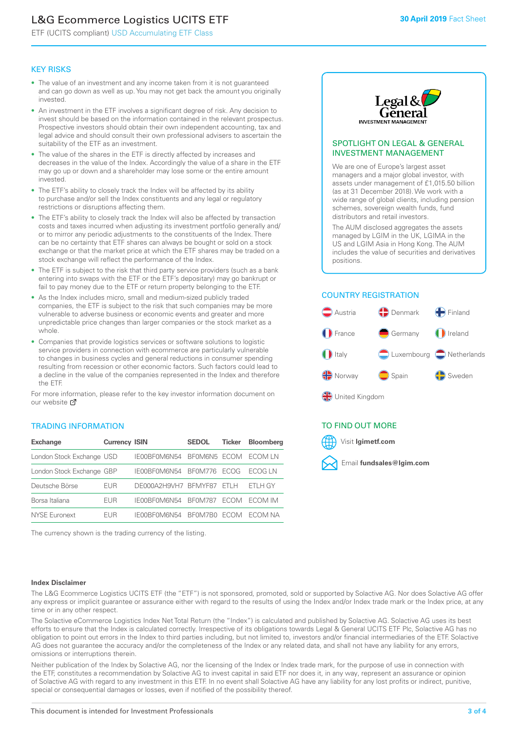## L&G Ecommerce Logistics UCITS ETF

ETF (UCITS compliant) USD Accumulating ETF Class

### KEY RISKS

- The value of an investment and any income taken from it is not guaranteed and can go down as well as up. You may not get back the amount you originally invested.
- An investment in the ETF involves a significant degree of risk. Any decision to invest should be based on the information contained in the relevant prospectus. Prospective investors should obtain their own independent accounting, tax and legal advice and should consult their own professional advisers to ascertain the suitability of the ETF as an investment.
- The value of the shares in the ETF is directly affected by increases and decreases in the value of the Index. Accordingly the value of a share in the ETF may go up or down and a shareholder may lose some or the entire amount invested.
- The ETF's ability to closely track the Index will be affected by its ability to purchase and/or sell the Index constituents and any legal or regulatory restrictions or disruptions affecting them.
- The ETF's ability to closely track the Index will also be affected by transaction costs and taxes incurred when adjusting its investment portfolio generally and/ or to mirror any periodic adjustments to the constituents of the Index. There can be no certainty that ETF shares can always be bought or sold on a stock exchange or that the market price at which the ETF shares may be traded on a stock exchange will reflect the performance of the Index.
- The ETF is subject to the risk that third party service providers (such as a bank entering into swaps with the ETF or the ETF's depositary) may go bankrupt or fail to pay money due to the ETF or return property belonging to the ETF.
- As the Index includes micro, small and medium-sized publicly traded companies, the ETF is subject to the risk that such companies may be more vulnerable to adverse business or economic events and greater and more unpredictable price changes than larger companies or the stock market as a whole.
- Companies that provide logistics services or software solutions to logistic service providers in connection with ecommerce are particularly vulnerable to changes in business cycles and general reductions in consumer spending resulting from recession or other economic factors. Such factors could lead to a decline in the value of the companies represented in the Index and therefore the ETF.

For more in[form](https://www.lgimetf.com/)ation, please refer to the key investor information document on our website **Z** 

### TRADING INFORMATION

| <b>Exchange</b>           | <b>Currency ISIN</b> |                      | <b>SEDOL</b>   | <b>Ticker</b> | Bloomberg |
|---------------------------|----------------------|----------------------|----------------|---------------|-----------|
| London Stock Exchange USD |                      | IE00BF0M6N54         | BFOM6N5 ECOM   |               | ECOM IN   |
| London Stock Exchange GBP |                      | IE00BF0M6N54         | BF0M776        | <b>FCOG</b>   | FCOG IN   |
| Deutsche Börse            | EUR                  | DE000A2H9VH7 BFMYF87 |                | FTI H         | ETLH GY   |
| Borsa Italiana            | EUR                  | IE00BF0M6N54         | <b>BF0M787</b> | <b>FCOM</b>   | ECOM IM   |
| NYSE Euronext             | <b>FUR</b>           | IF00BF0M6N54         | BF0M7B0        | <b>ECOM</b>   | FCOM NA   |

The currency shown is the trading currency of the listing.



### SPOTLIGHT ON LEGAL & GENERAL INVESTMENT MANAGEMENT

We are one of Europe's largest asset managers and a major global investor, with assets under management of £1,015.50 billion (as at 31 December 2018). We work with a wide range of global clients, including pension schemes, sovereign wealth funds, fund distributors and retail investors.

The AUM disclosed aggregates the assets managed by LGIM in the UK, LGIMA in the US and LGIM Asia in Hong Kong. The AUM includes the value of securities and derivatives positions.

### COUNTRY REGISTRATION



### TO FIND OUT MORE



### **Index Disclaimer**

The L&G Ecommerce Logistics UCITS ETF (the "ETF") is not sponsored, promoted, sold or supported by Solactive AG. Nor does Solactive AG offer any express or implicit guarantee or assurance either with regard to the results of using the Index and/or Index trade mark or the Index price, at any time or in any other respect.

The Solactive eCommerce Logistics Index Net Total Return (the "Index") is calculated and published by Solactive AG. Solactive AG uses its best efforts to ensure that the Index is calculated correctly. Irrespective of its obligations towards Legal & General UCITS ETF Plc, Solactive AG has no obligation to point out errors in the Index to third parties including, but not limited to, investors and/or financial intermediaries of the ETF. Solactive AG does not guarantee the accuracy and/or the completeness of the Index or any related data, and shall not have any liability for any errors, omissions or interruptions therein.

Neither publication of the Index by Solactive AG, nor the licensing of the Index or Index trade mark, for the purpose of use in connection with the ETF, constitutes a recommendation by Solactive AG to invest capital in said ETF nor does it, in any way, represent an assurance or opinion of Solactive AG with regard to any investment in this ETF. In no event shall Solactive AG have any liability for any lost profits or indirect, punitive, special or consequential damages or losses, even if notified of the possibility thereof.